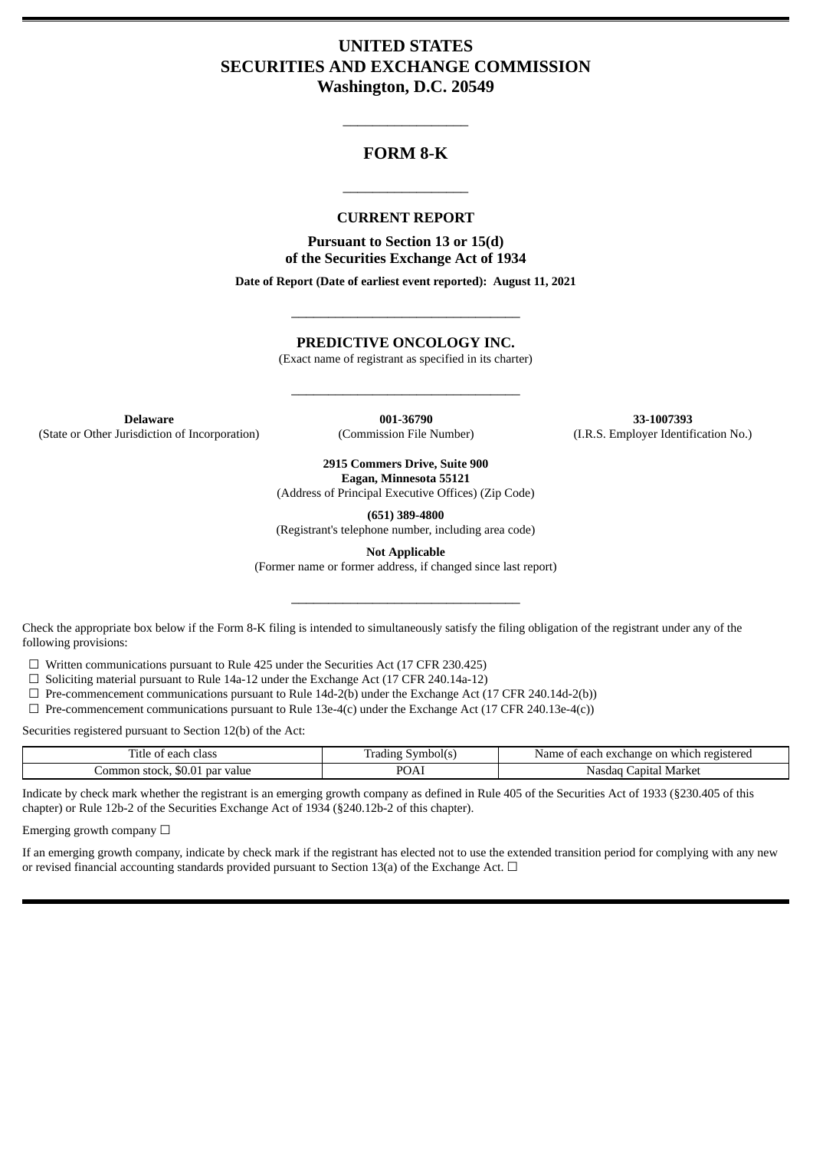# **UNITED STATES SECURITIES AND EXCHANGE COMMISSION Washington, D.C. 20549**

## **FORM 8-K**

\_\_\_\_\_\_\_\_\_\_\_\_\_\_\_\_\_

#### **CURRENT REPORT**

\_\_\_\_\_\_\_\_\_\_\_\_\_\_\_\_\_

**Pursuant to Section 13 or 15(d) of the Securities Exchange Act of 1934**

**Date of Report (Date of earliest event reported): August 11, 2021**

### **PREDICTIVE ONCOLOGY INC.**

\_\_\_\_\_\_\_\_\_\_\_\_\_\_\_\_\_\_\_\_\_\_\_\_\_\_\_\_\_\_\_

(Exact name of registrant as specified in its charter)

\_\_\_\_\_\_\_\_\_\_\_\_\_\_\_\_\_\_\_\_\_\_\_\_\_\_\_\_\_\_\_

**Delaware 001-36790 33-1007393** (State or Other Jurisdiction of Incorporation) (Commission File Number) (I.R.S. Employer Identification No.)

**2915 Commers Drive, Suite 900 Eagan, Minnesota 55121**

(Address of Principal Executive Offices) (Zip Code)

**(651) 389-4800**

(Registrant's telephone number, including area code)

**Not Applicable**

(Former name or former address, if changed since last report)

\_\_\_\_\_\_\_\_\_\_\_\_\_\_\_\_\_\_\_\_\_\_\_\_\_\_\_\_\_\_\_

Check the appropriate box below if the Form 8-K filing is intended to simultaneously satisfy the filing obligation of the registrant under any of the following provisions:

☐ Written communications pursuant to Rule 425 under the Securities Act (17 CFR 230.425)

 $\Box$  Soliciting material pursuant to Rule 14a-12 under the Exchange Act (17 CFR 240.14a-12)

 $\Box$  Pre-commencement communications pursuant to Rule 14d-2(b) under the Exchange Act (17 CFR 240.14d-2(b))

 $\Box$  Pre-commencement communications pursuant to Rule 13e-4(c) under the Exchange Act (17 CFR 240.13e-4(c))

Securities registered pursuant to Section 12(b) of the Act:

| $\mathbf{m}$<br>ntle c<br>of each class ! | Symbol(s)<br>Trading    | f each exchange on which registered<br>Name of |  |  |  |  |
|-------------------------------------------|-------------------------|------------------------------------------------|--|--|--|--|
| Common stock. \$0.01<br>. par value       | $D \cap \Lambda$<br>OAI | Market<br>apıtal.<br>Nasdad                    |  |  |  |  |

Indicate by check mark whether the registrant is an emerging growth company as defined in Rule 405 of the Securities Act of 1933 (§230.405 of this chapter) or Rule 12b-2 of the Securities Exchange Act of 1934 (§240.12b-2 of this chapter).

Emerging growth company  $\Box$ 

If an emerging growth company, indicate by check mark if the registrant has elected not to use the extended transition period for complying with any new or revised financial accounting standards provided pursuant to Section 13(a) of the Exchange Act.  $\Box$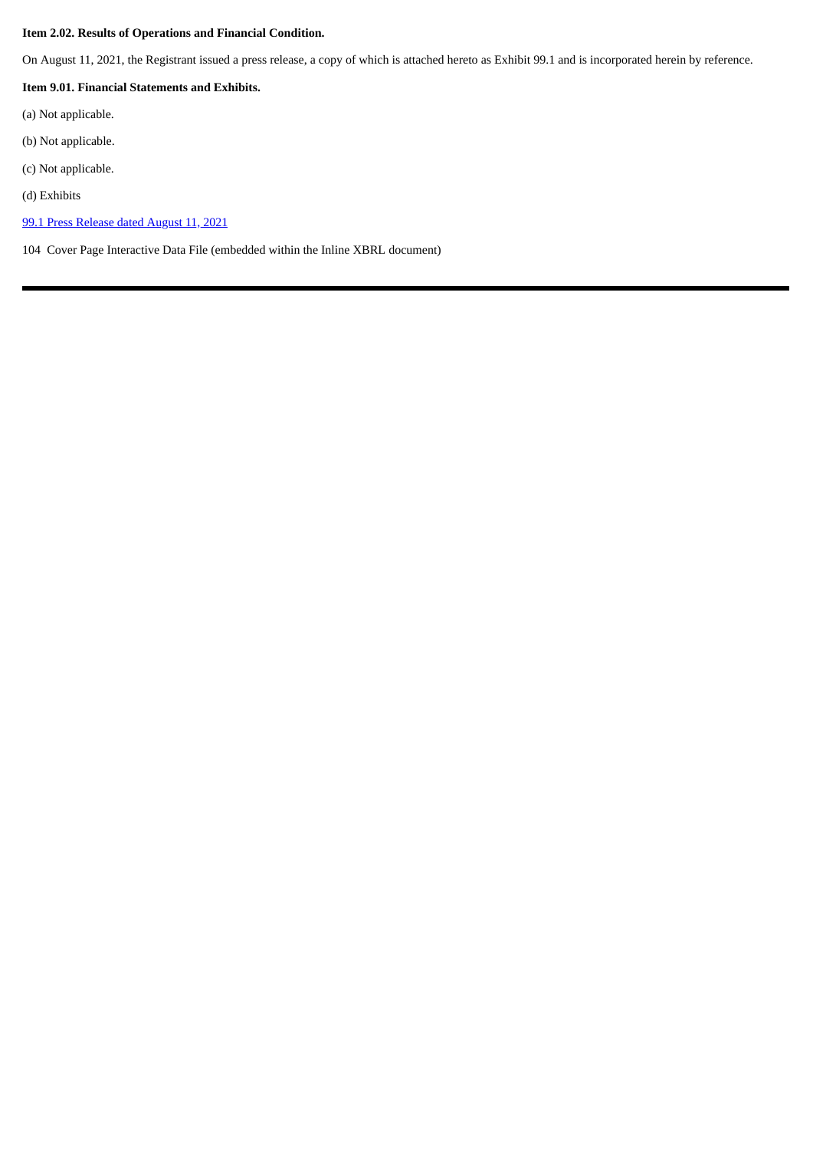### **Item 2.02. Results of Operations and Financial Condition.**

On August 11, 2021, the Registrant issued a press release, a copy of which is attached hereto as Exhibit 99.1 and is incorporated herein by reference.

### **Item 9.01. Financial Statements and Exhibits.**

- (a) Not applicable.
- (b) Not applicable.
- (c) Not applicable.
- (d) Exhibits
- 99.1 Press [Release](#page-3-0) dated August 11, 2021

104 Cover Page Interactive Data File (embedded within the Inline XBRL document)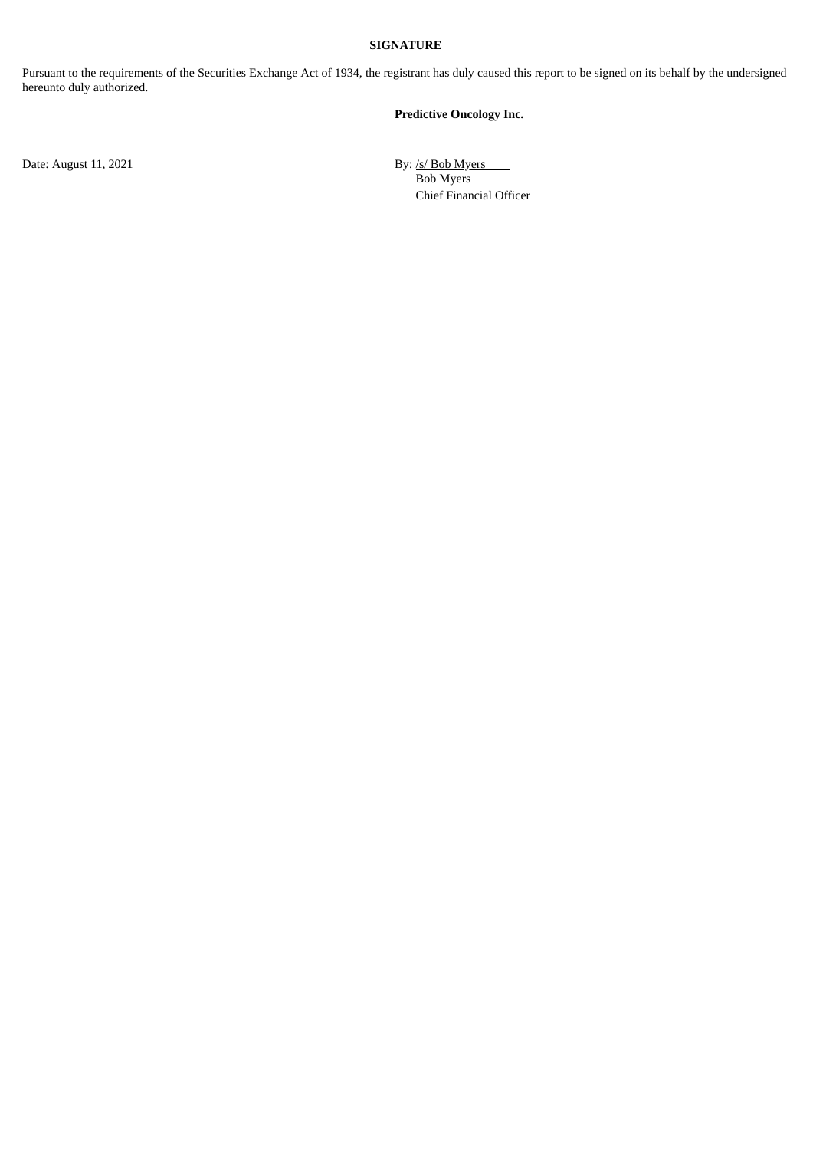### **SIGNATURE**

Pursuant to the requirements of the Securities Exchange Act of 1934, the registrant has duly caused this report to be signed on its behalf by the undersigned hereunto duly authorized.

#### **Predictive Oncology Inc.**

Date: August 11, 2021 By: /s/ Bob Myers Bob Myers Chief Financial Officer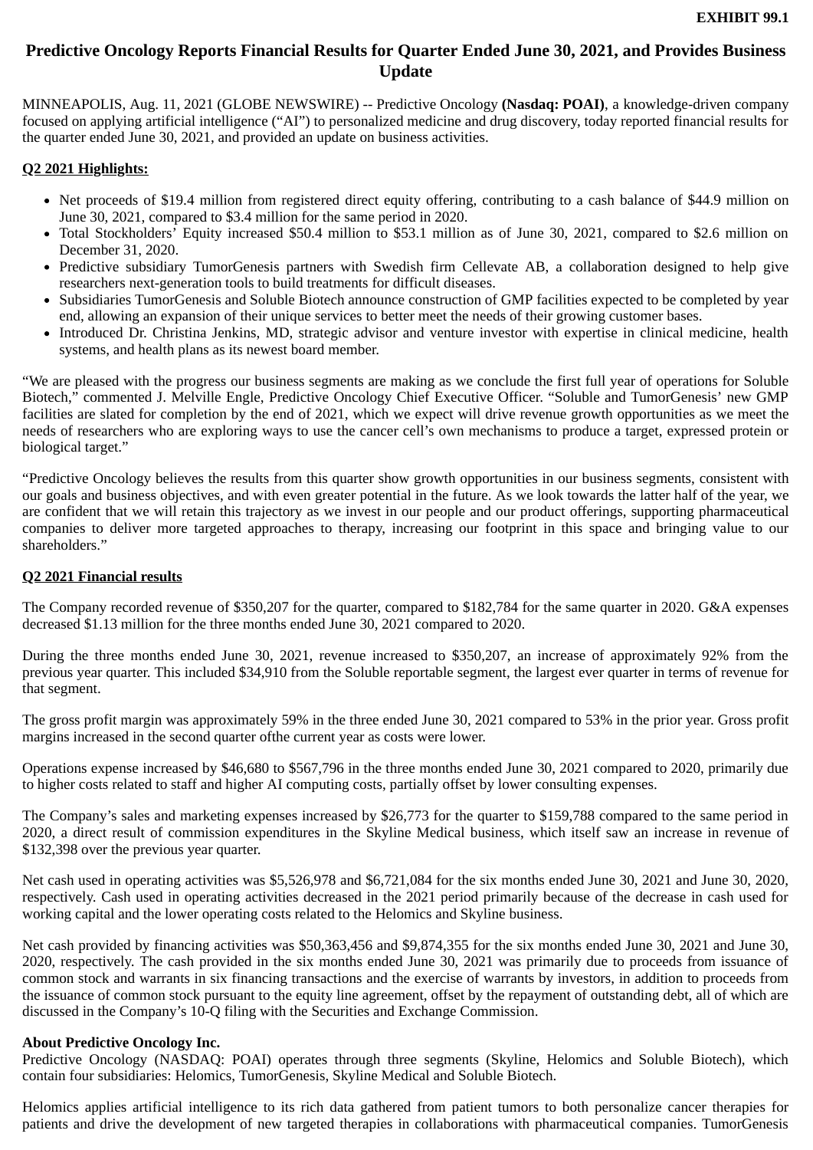# <span id="page-3-0"></span>**Predictive Oncology Reports Financial Results for Quarter Ended June 30, 2021, and Provides Business Update**

MINNEAPOLIS, Aug. 11, 2021 (GLOBE NEWSWIRE) -- Predictive Oncology **(Nasdaq: POAI)**, a knowledge-driven company focused on applying artificial intelligence ("AI") to personalized medicine and drug discovery, today reported financial results for the quarter ended June 30, 2021, and provided an update on business activities.

### **Q2 2021 Highlights:**

- Net proceeds of \$19.4 million from registered direct equity offering, contributing to a cash balance of \$44.9 million on June 30, 2021, compared to \$3.4 million for the same period in 2020.
- Total Stockholders' Equity increased \$50.4 million to \$53.1 million as of June 30, 2021, compared to \$2.6 million on December 31, 2020.
- Predictive subsidiary TumorGenesis partners with Swedish firm Cellevate AB, a collaboration designed to help give researchers next-generation tools to build treatments for difficult diseases.
- Subsidiaries TumorGenesis and Soluble Biotech announce construction of GMP facilities expected to be completed by year end, allowing an expansion of their unique services to better meet the needs of their growing customer bases.
- Introduced Dr. Christina Jenkins, MD, strategic advisor and venture investor with expertise in clinical medicine, health systems, and health plans as its newest board member.

"We are pleased with the progress our business segments are making as we conclude the first full year of operations for Soluble Biotech," commented J. Melville Engle, Predictive Oncology Chief Executive Officer. "Soluble and TumorGenesis' new GMP facilities are slated for completion by the end of 2021, which we expect will drive revenue growth opportunities as we meet the needs of researchers who are exploring ways to use the cancer cell's own mechanisms to produce a target, expressed protein or biological target."

"Predictive Oncology believes the results from this quarter show growth opportunities in our business segments, consistent with our goals and business objectives, and with even greater potential in the future. As we look towards the latter half of the year, we are confident that we will retain this trajectory as we invest in our people and our product offerings, supporting pharmaceutical companies to deliver more targeted approaches to therapy, increasing our footprint in this space and bringing value to our shareholders."

### **Q2 2021 Financial results**

The Company recorded revenue of \$350,207 for the quarter, compared to \$182,784 for the same quarter in 2020. G&A expenses decreased \$1.13 million for the three months ended June 30, 2021 compared to 2020.

During the three months ended June 30, 2021, revenue increased to \$350,207, an increase of approximately 92% from the previous year quarter. This included \$34,910 from the Soluble reportable segment, the largest ever quarter in terms of revenue for that segment.

The gross profit margin was approximately 59% in the three ended June 30, 2021 compared to 53% in the prior year. Gross profit margins increased in the second quarter ofthe current year as costs were lower.

Operations expense increased by \$46,680 to \$567,796 in the three months ended June 30, 2021 compared to 2020, primarily due to higher costs related to staff and higher AI computing costs, partially offset by lower consulting expenses.

The Company's sales and marketing expenses increased by \$26,773 for the quarter to \$159,788 compared to the same period in 2020, a direct result of commission expenditures in the Skyline Medical business, which itself saw an increase in revenue of \$132,398 over the previous year quarter.

Net cash used in operating activities was \$5,526,978 and \$6,721,084 for the six months ended June 30, 2021 and June 30, 2020, respectively. Cash used in operating activities decreased in the 2021 period primarily because of the decrease in cash used for working capital and the lower operating costs related to the Helomics and Skyline business.

Net cash provided by financing activities was \$50,363,456 and \$9,874,355 for the six months ended June 30, 2021 and June 30, 2020, respectively. The cash provided in the six months ended June 30, 2021 was primarily due to proceeds from issuance of common stock and warrants in six financing transactions and the exercise of warrants by investors, in addition to proceeds from the issuance of common stock pursuant to the equity line agreement, offset by the repayment of outstanding debt, all of which are discussed in the Company's 10-Q filing with the Securities and Exchange Commission.

## **About Predictive Oncology Inc.**

Predictive Oncology (NASDAQ: POAI) operates through three segments (Skyline, Helomics and Soluble Biotech), which contain four subsidiaries: Helomics, TumorGenesis, Skyline Medical and Soluble Biotech.

Helomics applies artificial intelligence to its rich data gathered from patient tumors to both personalize cancer therapies for patients and drive the development of new targeted therapies in collaborations with pharmaceutical companies. TumorGenesis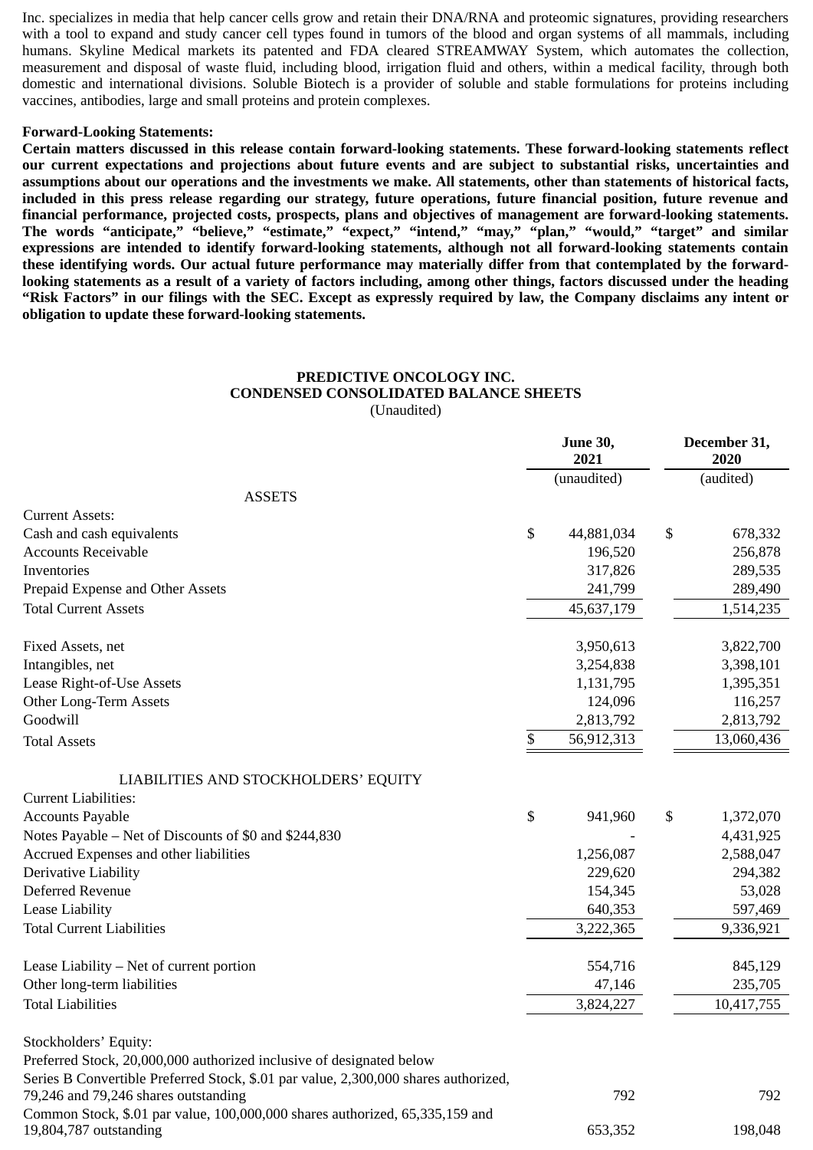Inc. specializes in media that help cancer cells grow and retain their DNA/RNA and proteomic signatures, providing researchers with a tool to expand and study cancer cell types found in tumors of the blood and organ systems of all mammals, including humans. Skyline Medical markets its patented and FDA cleared STREAMWAY System, which automates the collection, measurement and disposal of waste fluid, including blood, irrigation fluid and others, within a medical facility, through both domestic and international divisions. Soluble Biotech is a provider of soluble and stable formulations for proteins including vaccines, antibodies, large and small proteins and protein complexes.

### **Forward-Looking Statements:**

**Certain matters discussed in this release contain forward-looking statements. These forward-looking statements reflect our current expectations and projections about future events and are subject to substantial risks, uncertainties and assumptions about our operations and the investments we make. All statements, other than statements of historical facts, included in this press release regarding our strategy, future operations, future financial position, future revenue and financial performance, projected costs, prospects, plans and objectives of management are forward-looking statements. The words "anticipate," "believe," "estimate," "expect," "intend," "may," "plan," "would," "target" and similar expressions are intended to identify forward-looking statements, although not all forward-looking statements contain these identifying words. Our actual future performance may materially differ from that contemplated by the forwardlooking statements as a result of a variety of factors including, among other things, factors discussed under the heading "Risk Factors" in our filings with the SEC. Except as expressly required by law, the Company disclaims any intent or obligation to update these forward-looking statements.**

### **PREDICTIVE ONCOLOGY INC. CONDENSED CONSOLIDATED BALANCE SHEETS** (Unaudited)

|                                                                                                        | <b>June 30,</b><br>2021 | December 31,<br>2020 |
|--------------------------------------------------------------------------------------------------------|-------------------------|----------------------|
|                                                                                                        | (unaudited)             | (audited)            |
| <b>ASSETS</b>                                                                                          |                         |                      |
| <b>Current Assets:</b>                                                                                 |                         |                      |
| Cash and cash equivalents                                                                              | \$<br>44,881,034        | \$<br>678,332        |
| <b>Accounts Receivable</b>                                                                             | 196,520                 | 256,878              |
| Inventories                                                                                            | 317,826                 | 289,535              |
| Prepaid Expense and Other Assets                                                                       | 241,799                 | 289,490              |
| <b>Total Current Assets</b>                                                                            | 45,637,179              | 1,514,235            |
| Fixed Assets, net                                                                                      | 3,950,613               | 3,822,700            |
| Intangibles, net                                                                                       | 3,254,838               | 3,398,101            |
| Lease Right-of-Use Assets                                                                              | 1,131,795               | 1,395,351            |
| Other Long-Term Assets                                                                                 | 124,096                 | 116,257              |
| Goodwill                                                                                               | 2,813,792               | 2,813,792            |
| <b>Total Assets</b>                                                                                    | \$<br>56,912,313        | 13,060,436           |
| LIABILITIES AND STOCKHOLDERS' EQUITY                                                                   |                         |                      |
| <b>Current Liabilities:</b>                                                                            |                         |                      |
| <b>Accounts Payable</b>                                                                                | \$<br>941,960           | \$<br>1,372,070      |
| Notes Payable - Net of Discounts of \$0 and \$244,830                                                  |                         | 4,431,925            |
| Accrued Expenses and other liabilities                                                                 | 1,256,087               | 2,588,047            |
| Derivative Liability                                                                                   | 229,620                 | 294,382              |
| Deferred Revenue                                                                                       | 154,345                 | 53,028               |
| <b>Lease Liability</b>                                                                                 | 640,353                 | 597,469              |
| <b>Total Current Liabilities</b>                                                                       | 3,222,365               | 9,336,921            |
| Lease Liability - Net of current portion                                                               | 554,716                 | 845,129              |
| Other long-term liabilities                                                                            | 47,146                  | 235,705              |
| <b>Total Liabilities</b>                                                                               | 3,824,227               | 10,417,755           |
| Stockholders' Equity:                                                                                  |                         |                      |
| Preferred Stock, 20,000,000 authorized inclusive of designated below                                   |                         |                      |
| Series B Convertible Preferred Stock, \$.01 par value, 2,300,000 shares authorized,                    |                         |                      |
| 79,246 and 79,246 shares outstanding                                                                   | 792                     | 792                  |
| Common Stock, \$.01 par value, 100,000,000 shares authorized, 65,335,159 and<br>19,804,787 outstanding | 653,352                 | 198,048              |